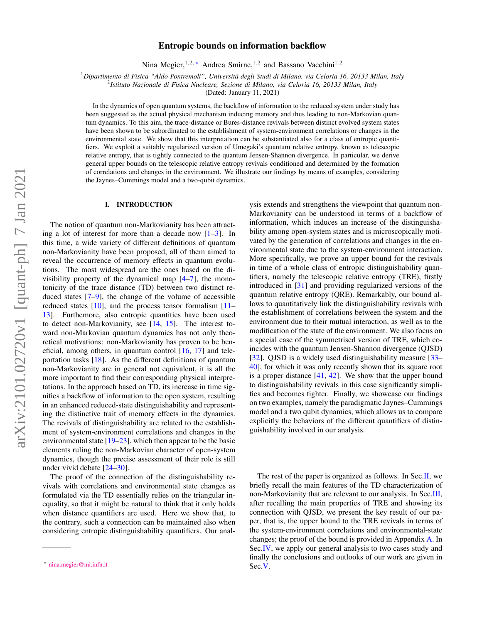# Entropic bounds on information backflow

Nina Megier,<sup>1,2,\*</sup> Andrea Smirne,<sup>1,2</sup> and Bassano Vacchini<sup>1,2</sup>

<sup>1</sup>*Dipartimento di Fisica "Aldo Pontremoli", Università degli Studi di Milano, via Celoria 16, 20133 Milan, Italy*

2 *Istituto Nazionale di Fisica Nucleare, Sezione di Milano, via Celoria 16, 20133 Milan, Italy*

(Dated: January 11, 2021)

In the dynamics of open quantum systems, the backflow of information to the reduced system under study has been suggested as the actual physical mechanism inducing memory and thus leading to non-Markovian quantum dynamics. To this aim, the trace-distance or Bures-distance revivals between distinct evolved system states have been shown to be subordinated to the establishment of system-environment correlations or changes in the environmental state. We show that this interpretation can be substantiated also for a class of entropic quantifiers. We exploit a suitably regularized version of Umegaki's quantum relative entropy, known as telescopic relative entropy, that is tightly connected to the quantum Jensen-Shannon divergence. In particular, we derive general upper bounds on the telescopic relative entropy revivals conditioned and determined by the formation of correlations and changes in the environment. We illustrate our findings by means of examples, considering the Jaynes–Cummings model and a two-qubit dynamics.

## I. INTRODUCTION

The notion of quantum non-Markovianity has been attracting a lot of interest for more than a decade now  $[1-3]$  $[1-3]$ . In this time, a wide variety of different definitions of quantum non-Markovianity have been proposed, all of them aimed to reveal the occurrence of memory effects in quantum evolutions. The most widespread are the ones based on the divisibility property of the dynamical map  $[4-7]$  $[4-7]$ , the monotonicity of the trace distance (TD) between two distinct reduced states [\[7](#page-4-3)[–9\]](#page-4-4), the change of the volume of accessible reduced states [\[10\]](#page-4-5), and the process tensor formalism [\[11–](#page-4-6) [13\]](#page-4-7). Furthemore, also entropic quantities have been used to detect non-Markovianity, see [\[14,](#page-4-8) [15\]](#page-4-9). The interest toward non-Markovian quantum dynamics has not only theoretical motivations: non-Markovianity has proven to be beneficial, among others, in quantum control  $[16, 17]$  $[16, 17]$  $[16, 17]$  and teleportation tasks [\[18\]](#page-4-12). As the different definitions of quantum non-Markovianity are in general not equivalent, it is all the more important to find their corresponding physical interpretations. In the approach based on TD, its increase in time signifies a backflow of information to the open system, resulting in an enhanced reduced-state distinguishability and representing the distinctive trait of memory effects in the dynamics. The revivals of distinguishability are related to the establishment of system-environment correlations and changes in the environmental state  $[19-23]$  $[19-23]$ , which then appear to be the basic elements ruling the non-Markovian character of open-system dynamics, though the precise assessment of their role is still under vivid debate [\[24–](#page-4-15)[30\]](#page-5-0).

The proof of the connection of the distinguishability revivals with correlations and environmental state changes as formulated via the TD essentially relies on the triangular inequality, so that it might be natural to think that it only holds when distance quantifiers are used. Here we show that, to the contrary, such a connection can be maintained also when considering entropic distinguishability quantifiers. Our analysis extends and strengthens the viewpoint that quantum non-Markovianity can be understood in terms of a backflow of information, which induces an increase of the distinguishability among open-system states and is microscopically motivated by the generation of correlations and changes in the environmental state due to the system-environment interaction. More specifically, we prove an upper bound for the revivals in time of a whole class of entropic distinguishability quantifiers, namely the telescopic relative entropy (TRE), firstly introduced in [\[31\]](#page-5-1) and providing regularized versions of the quantum relative entropy (QRE). Remarkably, our bound allows to quantitatively link the distinguishability revivals with the establishment of correlations between the system and the environment due to their mutual interaction, as well as to the modification of the state of the environment. We also focus on a special case of the symmetrised version of TRE, which coincides with the quantum Jensen-Shannon divergence (QJSD) [\[32\]](#page-5-2). QJSD is a widely used distinguishability measure [\[33–](#page-5-3) [40\]](#page-5-4), for which it was only recently shown that its square root is a proper distance  $[41, 42]$  $[41, 42]$  $[41, 42]$ . We show that the upper bound to distinguishability revivals in this case significantly simplifies and becomes tighter. Finally, we showcase our findings on two examples, namely the paradigmatic Jaynes–Cummings model and a two qubit dynamics, which allows us to compare explicitly the behaviors of the different quantifiers of distinguishability involved in our analysis.

The rest of the paper is organized as follows. In Sec[.II,](#page-1-0) we briefly recall the main features of the TD characterization of non-Markovianity that are relevant to our analysis. In Sec[.III,](#page-1-1) after recalling the main properties of TRE and showing its connection with QJSD, we present the key result of our paper, that is, the upper bound to the TRE revivals in terms of the system-environment correlations and environmental-state changes; the proof of the bound is provided in Appendix [A.](#page-5-7) In Sec[.IV,](#page-3-0) we apply our general analysis to two cases study and finally the conclusions and outlooks of our work are given in Sec[.V.](#page-3-1)

<span id="page-0-0"></span><sup>∗</sup> [nina.megier@mi.infn.it](mailto:nina.megier@mi.infn.it)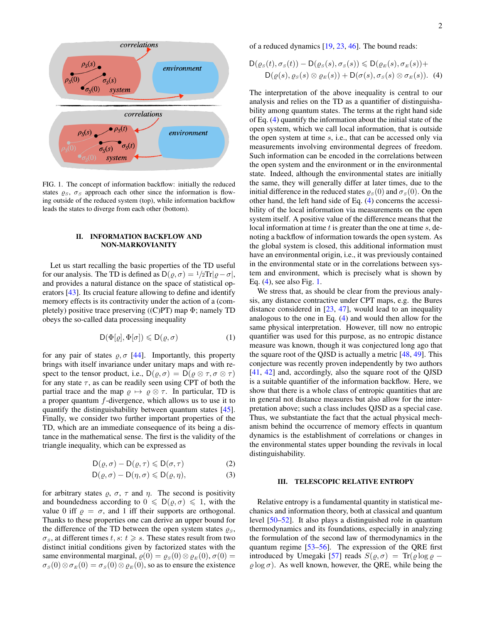

<span id="page-1-3"></span>FIG. 1. The concept of information backflow: initially the reduced states  $\rho_s$ ,  $\sigma_s$  approach each other since the information is flowing outside of the reduced system (top), while information backflow leads the states to diverge from each other (bottom).

## <span id="page-1-0"></span>II. INFORMATION BACKFLOW AND NON-MARKOVIANITY

Let us start recalling the basic properties of the TD useful for our analysis. The TD is defined as  $D(\rho, \sigma) = \frac{1}{2}Tr|\rho - \sigma|$ , and provides a natural distance on the space of statistical operators [\[43\]](#page-5-8). Its crucial feature allowing to define and identify memory effects is its contractivity under the action of a (completely) positive trace preserving  $((C)PT)$  map  $\Phi$ ; namely TD obeys the so-called data processing inequality

<span id="page-1-4"></span>
$$
D(\Phi[\varrho], \Phi[\sigma]) \leq D(\varrho, \sigma) \tag{1}
$$

for any pair of states  $\rho$ ,  $\sigma$  [\[44\]](#page-5-9). Importantly, this property brings with itself invariance under unitary maps and with respect to the tensor product, i.e.,  $D(\rho, \sigma) = D(\rho \otimes \tau, \sigma \otimes \tau)$ for any state  $\tau$ , as can be readily seen using CPT of both the partial trace and the map  $\rho \mapsto \rho \otimes \tau$ . In particular, TD is a proper quantum f-divergence, which allows us to use it to quantify the distinguishability between quantum states [\[45\]](#page-5-10). Finally, we consider two further important properties of the TD, which are an immediate consequence of its being a distance in the mathematical sense. The first is the validity of the triangle inequality, which can be expressed as

$$
D(\varrho, \sigma) - D(\varrho, \tau) \le D(\sigma, \tau)
$$
 (2)

$$
D(\varrho, \sigma) - D(\eta, \sigma) \le D(\varrho, \eta), \tag{3}
$$

for arbitrary states  $\varrho$ ,  $\sigma$ ,  $\tau$  and  $\eta$ . The second is positivity and boundedness according to  $0 \leq D(\varrho, \sigma) \leq 1$ , with the value 0 iff  $\rho = \sigma$ , and 1 iff their supports are orthogonal. Thanks to these properties one can derive an upper bound for the difference of the TD between the open system states  $\rho_s$ ,  $\sigma_s$ , at different times t, s:  $t \geq s$ . These states result from two distinct initial conditions given by factorized states with the same environmental marginal,  $\rho(0) = \rho_S(0) \otimes \rho_E(0), \sigma(0) =$  $\sigma_S(0) \otimes \sigma_E(0) = \sigma_S(0) \otimes \rho_E(0)$ , so as to ensure the existence

of a reduced dynamics [\[19,](#page-4-13) [23,](#page-4-14) [46\]](#page-5-11). The bound reads:

<span id="page-1-2"></span>
$$
D(\varrho_S(t), \sigma_S(t)) - D(\varrho_S(s), \sigma_S(s)) \le D(\varrho_E(s), \sigma_E(s)) +
$$
  
 
$$
D(\varrho(s), \varrho_S(s) \otimes \varrho_E(s)) + D(\sigma(s), \sigma_S(s) \otimes \sigma_E(s)).
$$
 (4)

The interpretation of the above inequality is central to our analysis and relies on the TD as a quantifier of distinguishability among quantum states. The terms at the right hand side of Eq. [\(4\)](#page-1-2) quantify the information about the initial state of the open system, which we call local information, that is outside the open system at time s, i.e., that can be accessed only via measurements involving environmental degrees of freedom. Such information can be encoded in the correlations between the open system and the environment or in the environmental state. Indeed, although the environmental states are initially the same, they will generally differ at later times, due to the initial difference in the reduced states  $\rho_s(0)$  and  $\sigma_s(0)$ . On the other hand, the left hand side of Eq. [\(4\)](#page-1-2) concerns the accessibility of the local information via measurements on the open system itself. A positive value of the difference means that the local information at time  $t$  is greater than the one at time  $s$ , denoting a backflow of information towards the open system. As the global system is closed, this additional information must have an environmental origin, i.e., it was previously contained in the environmental state or in the correlations between system and environment, which is precisely what is shown by Eq. [\(4\)](#page-1-2), see also Fig. [1.](#page-1-3)

We stress that, as should be clear from the previous analysis, any distance contractive under CPT maps, e.g. the Bures distance considered in [\[23,](#page-4-14) [47\]](#page-5-12), would lead to an inequality analogous to the one in Eq. [\(4\)](#page-1-2) and would then allow for the same physical interpretation. However, till now no entropic quantifier was used for this purpose, as no entropic distance measure was known, though it was conjectured long ago that the square root of the QJSD is actually a metric [\[48,](#page-5-13) [49\]](#page-5-14). This conjecture was recently proven independently by two authors [\[41,](#page-5-5) [42\]](#page-5-6) and, accordingly, also the square root of the QJSD is a suitable quantifier of the information backflow. Here, we show that there is a whole class of entropic quantities that are in general not distance measures but also allow for the interpretation above; such a class includes QJSD as a special case. Thus, we substantiate the fact that the actual physical mechanism behind the occurrence of memory effects in quantum dynamics is the establishment of correlations or changes in the environmental states upper bounding the revivals in local distinguishability.

## <span id="page-1-1"></span>III. TELESCOPIC RELATIVE ENTROPY

<span id="page-1-6"></span><span id="page-1-5"></span>Relative entropy is a fundamental quantity in statistical mechanics and information theory, both at classical and quantum level [\[50–](#page-5-15)[52\]](#page-5-16). It also plays a distinguished role in quantum thermodynamics and its foundations, especially in analyzing the formulation of the second law of thermodynamics in the quantum regime [\[53–](#page-5-17)[56\]](#page-5-18). The expression of the QRE first introduced by Umegaki [\[57\]](#page-5-19) reads  $S(\rho, \sigma) = \text{Tr}(\rho \log \rho \varrho$  log  $\sigma$ ). As well known, however, the QRE, while being the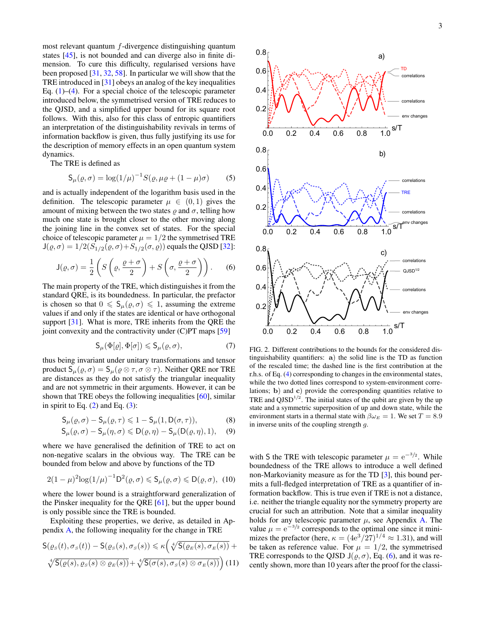most relevant quantum  $f$ -divergence distinguishing quantum states [\[45\]](#page-5-10), is not bounded and can diverge also in finite dimension. To cure this difficulty, regularised versions have been proposed [\[31,](#page-5-1) [32,](#page-5-2) [58\]](#page-5-20). In particular we will show that the TRE introduced in [\[31\]](#page-5-1) obeys an analog of the key inequalities Eq.  $(1)$ – $(4)$ . For a special choice of the telescopic parameter introduced below, the symmetrised version of TRE reduces to the QJSD, and a simplified upper bound for its square root follows. With this, also for this class of entropic quantifiers an interpretation of the distinguishability revivals in terms of information backflow is given, thus fully justifying its use for the description of memory effects in an open quantum system dynamics.

The TRE is defined as

$$
S_{\mu}(\rho, \sigma) = \log(1/\mu)^{-1} S(\rho, \mu \rho + (1 - \mu)\sigma)
$$
 (5)

and is actually independent of the logarithm basis used in the definition. The telescopic parameter  $\mu \in (0,1)$  gives the amount of mixing between the two states  $\rho$  and  $\sigma$ , telling how much one state is brought closer to the other moving along the joining line in the convex set of states. For the special choice of telescopic parameter  $\mu = 1/2$  the symmetrised TRE  $J(\rho, \sigma) = 1/2(S_{1/2}(\rho, \sigma) + S_{1/2}(\sigma, \rho))$  equals the QJSD [\[32\]](#page-5-2):

<span id="page-2-0"></span>
$$
\mathsf{J}(\varrho,\sigma) = \frac{1}{2} \left( S \left( \varrho, \frac{\varrho + \sigma}{2} \right) + S \left( \sigma, \frac{\varrho + \sigma}{2} \right) \right). \tag{6}
$$

The main property of the TRE, which distinguishes it from the standard QRE, is its boundedness. In particular, the prefactor is chosen so that  $0 \le S_u(\varrho, \sigma) \le 1$ , assuming the extreme values if and only if the states are identical or have orthogonal support [\[31\]](#page-5-1). What is more, TRE inherits from the QRE the joint convexity and the contractivity under (C)PT maps [\[59\]](#page-5-21)

$$
\mathsf{S}_{\mu}(\Phi[\varrho], \Phi[\sigma]) \leq \mathsf{S}_{\mu}(\varrho, \sigma),\tag{7}
$$

thus being invariant under unitary transformations and tensor product  $S_{\mu}(\varrho, \sigma) = S_{\mu}(\varrho \otimes \tau, \sigma \otimes \tau)$ . Neither QRE nor TRE are distances as they do not satisfy the triangular inequality and are not symmetric in their arguments. However, it can be shown that TRE obeys the following inequalities [\[60\]](#page-5-22), similar in spirit to Eq.  $(2)$  and Eq.  $(3)$ :

$$
\mathsf{S}_{\mu}(\varrho,\sigma) - \mathsf{S}_{\mu}(\varrho,\tau) \leq 1 - \mathsf{S}_{\mu}(1,\mathsf{D}(\sigma,\tau)),\tag{8}
$$

$$
\mathsf{S}_{\mu}(\varrho,\sigma) - \mathsf{S}_{\mu}(\eta,\sigma) \leq \mathsf{D}(\varrho,\eta) - \mathsf{S}_{\mu}(\mathsf{D}(\varrho,\eta),1),\quad(9)
$$

where we have generalised the definition of TRE to act on non-negative scalars in the obvious way. The TRE can be bounded from below and above by functions of the TD

<span id="page-2-3"></span>
$$
2(1-\mu)^2 \log(1/\mu)^{-1} \mathsf{D}^2(\varrho, \sigma) \leq \mathsf{S}_{\mu}(\varrho, \sigma) \leq \mathsf{D}(\varrho, \sigma), \tag{10}
$$

where the lower bound is a straightforward generalization of the Pinsker inequality for the QRE [\[61\]](#page-5-23), but the upper bound is only possible since the TRE is bounded.

Exploiting these properties, we derive, as detailed in Appendix [A,](#page-5-7) the following inequality for the change in TRE

<span id="page-2-1"></span>
$$
\mathsf{S}(\varrho_{\scriptscriptstyle S}(t),\sigma_{\scriptscriptstyle S}(t)) - \mathsf{S}(\varrho_{\scriptscriptstyle S}(s),\sigma_{\scriptscriptstyle S}(s)) \leq \kappa \Big( \sqrt[4]{\mathsf{S}(\varrho_{\scriptscriptstyle E}(s),\sigma_{\scriptscriptstyle E}(s))} + \sqrt[4]{\mathsf{S}(\varrho(s),\varrho_{\scriptscriptstyle S}(s) \otimes \varrho_{\scriptscriptstyle E}(s))} + \sqrt[4]{\mathsf{S}(\sigma(s),\sigma_{\scriptscriptstyle S}(s) \otimes \sigma_{\scriptscriptstyle E}(s))} \Big) (11)
$$



<span id="page-2-2"></span>FIG. 2. Different contributions to the bounds for the considered distinguishability quantifiers: a) the solid line is the TD as function of the rescaled time; the dashed line is the first contribution at the r.h.s. of Eq. [\(4\)](#page-1-2) corresponding to changes in the environmental states, while the two dotted lines correspond to system-environment correlations; b) and c) provide the corresponding quantities relative to TRE and  $QJSD^{1/2}$ . The initial states of the qubit are given by the up state and a symmetric superposition of up and down state, while the environment starts in a thermal state with  $\beta \omega_E = 1$ . We set  $T = 8.9$ in inverse units of the coupling strength g.

<span id="page-2-5"></span><span id="page-2-4"></span>with S the TRE with telescopic parameter  $\mu = e^{-3/2}$ . While boundedness of the TRE allows to introduce a well defined non-Markovianity measure as for the TD [\[3\]](#page-4-1), this bound permits a full-fledged interpretation of TRE as a quantifier of information backflow. This is true even if TRE is not a distance, i.e. neither the triangle equality nor the symmetry property are crucial for such an attribution. Note that a similar inequality holds for any telescopic parameter  $\mu$ , see Appendix [A.](#page-5-7) The value  $\mu = e^{-3/2}$  corresponds to the optimal one since it minimizes the prefactor (here,  $\kappa = (4e^3/27)^{1/4} \approx 1.31$ ), and will be taken as reference value. For  $\mu = 1/2$ , the symmetrised TRE corresponds to the QJSD  $J(\rho, \sigma)$ , Eq. [\(6\)](#page-2-0), and it was recently shown, more than 10 years after the proof for the classi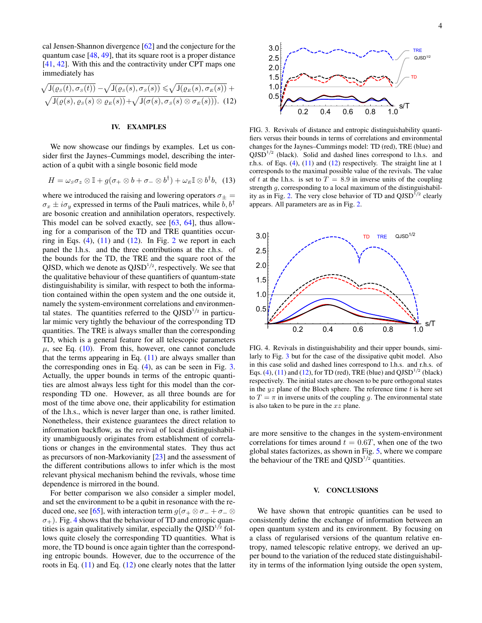cal Jensen-Shannon divergence [\[62\]](#page-5-24) and the conjecture for the quantum case [\[48,](#page-5-13) [49\]](#page-5-14), that its square root is a proper distance [\[41,](#page-5-5) [42\]](#page-5-6). With this and the contractivity under CPT maps one immediately has

<span id="page-3-2"></span>
$$
\sqrt{J(\varrho_S(t), \sigma_S(t))} - \sqrt{J(\varrho_S(s), \sigma_S(s))} \leq \sqrt{J(\varrho_E(s), \sigma_E(s))} + \sqrt{J(\varrho(s), \varrho_S(s) \otimes \varrho_E(s))}.
$$
 (12)

## <span id="page-3-0"></span>IV. EXAMPLES

We now showcase our findings by examples. Let us consider first the Jaynes–Cummings model, describing the interaction of a qubit with a single bosonic field mode

$$
H = \omega_{S}\sigma_{z} \otimes \mathbb{I} + g(\sigma_{+} \otimes b + \sigma_{-} \otimes b^{\dagger}) + \omega_{E} \mathbb{I} \otimes b^{\dagger}b, \quad (13)
$$

where we introduced the raising and lowering operators  $\sigma_{\pm}$  =  $\sigma_x \pm i\sigma_y$  expressed in terms of the Pauli matrices, while b,  $b^{\dagger}$ are bosonic creation and annihilation operators, respectively. This model can be solved exactly, see [\[63,](#page-5-25) [64\]](#page-5-26), thus allowing for a comparison of the TD and TRE quantities occurring in Eqs.  $(4)$ ,  $(11)$  and  $(12)$ . In Fig. [2](#page-2-2) we report in each panel the l.h.s. and the three contributions at the r.h.s. of the bounds for the TD, the TRE and the square root of the QJSD, which we denote as  $QJSD^{1/2}$ , respectively. We see that the qualitative behaviour of these quantifiers of quantum-state distinguishability is similar, with respect to both the information contained within the open system and the one outside it, namely the system-environment correlations and environmental states. The quantities referred to the  $QISD^{1/2}$  in particular mimic very tightly the behaviour of the corresponding TD quantities. The TRE is always smaller than the corresponding TD, which is a general feature for all telescopic parameters  $\mu$ , see Eq. [\(10\)](#page-2-3). From this, however, one cannot conclude that the terms appearing in Eq.  $(11)$  are always smaller than the corresponding ones in Eq. [\(4\)](#page-1-2), as can be seen in Fig. [3.](#page-3-3) Actually, the upper bounds in terms of the entropic quantities are almost always less tight for this model than the corresponding TD one. However, as all three bounds are for most of the time above one, their applicability for estimation of the l.h.s., which is never larger than one, is rather limited. Nonetheless, their existence guarantees the direct relation to information backflow, as the revival of local distinguishability unambiguously originates from establishment of correlations or changes in the environmental states. They thus act as precursors of non-Markovianity [\[23\]](#page-4-14) and the assessment of the different contributions allows to infer which is the most relevant physical mechanism behind the revivals, whose time dependence is mirrored in the bound.  $\sqrt{3}$ (ii) and Eq. (1) and Eq. (1) and Eq. (1) and Eq. (1) and Eq. (1) and Eq. (1) and Eq. (1) and Eq. (1) and Eq. (1) and Eq. (1) and Eq. (1) and Eq. (1) and Eq. (1) and Eq. (1) and Eq. (1) and Eq. (1) and Eq. (1) and

For better comparison we also consider a simpler model, and set the environment to be a qubit in resonance with the re-duced one, see [\[65\]](#page-5-27), with interaction term  $g(\sigma_+ \otimes \sigma_- + \sigma_- \otimes$  $\sigma_{+}$ ). Fig. [4](#page-3-4) shows that the behaviour of TD and entropic quantities is again qualitatively similar, especially the  $QJSD^{1/2}$  follows quite closely the corresponding TD quantities. What is more, the TD bound is once again tighter than the corresponding entropic bounds. However, due to the occurrence of the



<span id="page-3-3"></span>FIG. 3. Revivals of distance and entropic distinguishability quantifiers versus their bounds in terms of correlations and environmental changes for the Jaynes–Cummings model: TD (red), TRE (blue) and  $QJSD<sup>1/2</sup>$  (black). Solid and dashed lines correspond to l.h.s. and r.h.s. of Eqs. [\(4\)](#page-1-2), [\(11\)](#page-2-1) and [\(12\)](#page-3-2) respectively. The straight line at 1 corresponds to the maximal possible value of the revivals. The value of t at the l.h.s. is set to  $T = 8.9$  in inverse units of the coupling strength g, corresponding to a local maximum of the distinguishabil-ity as in Fig. [2.](#page-2-2) The very close behavior of TD and  $QJSD^{1/2}$  clearly appears. All parameters are as in Fig. [2.](#page-2-2)



<span id="page-3-4"></span>FIG. 4. Revivals in distinguishability and their upper bounds, similarly to Fig. [3](#page-3-3) but for the case of the dissipative qubit model. Also in this case solid and dashed lines correspond to l.h.s. and r.h.s. of Eqs. [\(4\)](#page-1-2), [\(11\)](#page-2-1) and [\(12\)](#page-3-2), for TD (red), TRE (blue) and  $QJSD^{1/2}$  (black) respectively. The initial states are chosen to be pure orthogonal states in the  $yz$  plane of the Bloch sphere. The reference time  $t$  is here set to  $T = \pi$  in inverse units of the coupling g. The environmental state is also taken to be pure in the  $xz$  plane.

are more sensitive to the changes in the system-environment correlations for times around  $t = 0.6T$ , when one of the two global states factorizes, as shown in Fig. [5,](#page-4-16) where we compare the behaviour of the TRE and  $QJSD^{1/2}$  quantities.

# <span id="page-3-1"></span>V. CONCLUSIONS

We have shown that entropic quantities can be used to consistently define the exchange of information between an open quantum system and its environment. By focusing on a class of regularised versions of the quantum relative entropy, named telescopic relative entropy, we derived an upper bound to the variation of the reduced state distinguishability in terms of the information lying outside the open system,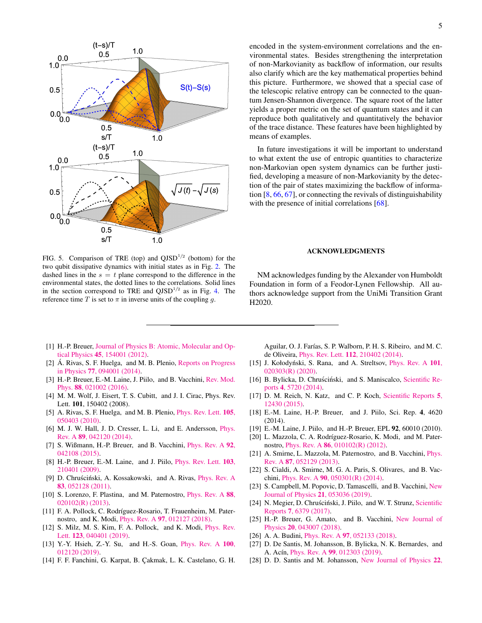

<span id="page-4-16"></span>FIG. 5. Comparison of TRE (top) and  $QJSD^{1/2}$  (bottom) for the two qubit dissipative dynamics with initial states as in Fig. [2.](#page-2-2) The dashed lines in the  $s = t$  plane correspond to the difference in the environmental states, the dotted lines to the correlations. Solid lines in the section correspond to TRE and  $Q\text{JSD}^{1/2}$  as in Fig. [4.](#page-3-4) The reference time T is set to  $\pi$  in inverse units of the coupling g.

- <span id="page-4-0"></span>[1] H.-P. Breuer, [Journal of Physics B: Atomic, Molecular and Op](http://dx.doi.org/10.1088/0953-4075/45/15/154001)tical Physics 45[, 154001 \(2012\).](http://dx.doi.org/10.1088/0953-4075/45/15/154001)
- [2] Á. Rivas, S. F. Huelga, and M. B. Plenio, [Reports on Progress](http://dx.doi.org/10.1088/0034-4885/77/9/094001) in Physics 77[, 094001 \(2014\).](http://dx.doi.org/10.1088/0034-4885/77/9/094001)
- <span id="page-4-1"></span>[3] H.-P. Breuer, E.-M. Laine, J. Piilo, and B. Vacchini, [Rev. Mod.](http://dx.doi.org/ 10.1103/RevModPhys.88.021002) Phys. 88[, 021002 \(2016\).](http://dx.doi.org/ 10.1103/RevModPhys.88.021002)
- <span id="page-4-2"></span>[4] M. M. Wolf, J. Eisert, T. S. Cubitt, and J. I. Cirac, Phys. Rev. Lett. 101, 150402 (2008).
- [5] A. Rivas, S. F. Huelga, and M. B. Plenio, *[Phys. Rev. Lett.](http://dx.doi.org/10.1103/PhysRevLett.105.050403)* **105**, [050403 \(2010\).](http://dx.doi.org/10.1103/PhysRevLett.105.050403)
- [6] M. J. W. Hall, J. D. Cresser, L. Li, and E. Andersson, [Phys.](http://dx.doi.org/10.1103/PhysRevA.89.042120) Rev. A 89[, 042120 \(2014\).](http://dx.doi.org/10.1103/PhysRevA.89.042120)
- <span id="page-4-3"></span>[7] S. Wißmann, H.-P. Breuer, and B. Vacchini, [Phys. Rev. A](http://dx.doi.org/10.1103/PhysRevA.92.042108) 92, [042108 \(2015\).](http://dx.doi.org/10.1103/PhysRevA.92.042108)
- <span id="page-4-17"></span>[8] H.-P. Breuer, E.-M. Laine, and J. Piilo, *[Phys. Rev. Lett.](http://dx.doi.org/10.1103/PhysRevLett.103.210401)* 103, [210401 \(2009\).](http://dx.doi.org/10.1103/PhysRevLett.103.210401)
- <span id="page-4-4"></span>[9] D. Chruściński, A. Kossakowski, and A. Rivas, [Phys. Rev. A](http://dx.doi.org/10.1103/PhysRevA.83.052128) 83[, 052128 \(2011\).](http://dx.doi.org/10.1103/PhysRevA.83.052128)
- <span id="page-4-5"></span>[10] S. Lorenzo, F. Plastina, and M. Paternostro, [Phys. Rev. A](http://dx.doi.org/10.1103/PhysRevA.88.020102) 88, [020102\(R\) \(2013\).](http://dx.doi.org/10.1103/PhysRevA.88.020102)
- <span id="page-4-6"></span>[11] F. A. Pollock, C. Rodríguez-Rosario, T. Frauenheim, M. Paternostro, and K. Modi, Phys. Rev. A 97[, 012127 \(2018\).](http://dx.doi.org/10.1103/PhysRevA.97.012127)
- [12] S. Milz, M. S. Kim, F. A. Pollock, and K. Modi, *[Phys. Rev.](http://dx.doi.org/ 10.1103/PhysRevLett.123.040401)* Lett. 123[, 040401 \(2019\).](http://dx.doi.org/ 10.1103/PhysRevLett.123.040401)
- <span id="page-4-7"></span>[13] Y.-Y. Hsieh, Z.-Y. Su, and H.-S. Goan, *[Phys. Rev. A](http://dx.doi.org/10.1103/PhysRevA.100.012120)* 100, [012120 \(2019\).](http://dx.doi.org/10.1103/PhysRevA.100.012120)
- <span id="page-4-8"></span>[14] F. F. Fanchini, G. Karpat, B. Çakmak, L. K. Castelano, G. H.

encoded in the system-environment correlations and the environmental states. Besides strengthening the interpretation of non-Markovianity as backflow of information, our results also clarify which are the key mathematical properties behind this picture. Furthermore, we showed that a special case of the telescopic relative entropy can be connected to the quantum Jensen-Shannon divergence. The square root of the latter yields a proper metric on the set of quantum states and it can reproduce both qualitatively and quantitatively the behavior of the trace distance. These features have been highlighted by means of examples.

In future investigations it will be important to understand to what extent the use of entropic quantities to characterize non-Markovian open system dynamics can be further justified, developing a measure of non-Markovianity by the detection of the pair of states maximizing the backflow of information [\[8,](#page-4-17) [66,](#page-5-28) [67\]](#page-5-29), or connecting the revivals of distinguishability with the presence of initial correlations [\[68\]](#page-5-30).

# ACKNOWLEDGMENTS

NM acknowledges funding by the Alexander von Humboldt Foundation in form of a Feodor-Lynen Fellowship. All authors acknowledge support from the UniMi Transition Grant H2020.

Aguilar, O. J. Farías, S. P. Walborn, P. H. S. Ribeiro, and M. C. de Oliveira, Phys. Rev. Lett. 112[, 210402 \(2014\).](http://dx.doi.org/ 10.1103/PhysRevLett.112.210402)

- <span id="page-4-9"></span>[15] J. Kołodyński, S. Rana, and A. Streltsov, *[Phys. Rev. A](http://dx.doi.org/ 10.1103/PhysRevA.101.020303)* 101, [020303\(R\) \(2020\).](http://dx.doi.org/ 10.1103/PhysRevA.101.020303)
- <span id="page-4-10"></span>[16] B. Bylicka, D. Chruściński, and S. Maniscalco, [Scientific Re](http://dx.doi.org/10.1038/srep05720)ports 4[, 5720 \(2014\).](http://dx.doi.org/10.1038/srep05720)
- <span id="page-4-11"></span>[17] D. M. Reich, N. Katz, and C. P. Koch, [Scientific Reports](http://dx.doi.org/10.1038/srep12430) 5, [12430 \(2015\).](http://dx.doi.org/10.1038/srep12430)
- <span id="page-4-12"></span>[18] E.-M. Laine, H.-P. Breuer, and J. Piilo, Sci. Rep. 4, 4620 (2014).
- <span id="page-4-13"></span>[19] E.-M. Laine, J. Piilo, and H.-P. Breuer, EPL 92, 60010 (2010).
- [20] L. Mazzola, C. A. Rodríguez-Rosario, K. Modi, and M. Paternostro, Phys. Rev. A 86[, 010102\(R\) \(2012\).](http://dx.doi.org/10.1103/PhysRevA.86.010102)
- [21] A. Smirne, L. Mazzola, M. Paternostro, and B. Vacchini, [Phys.](http://dx.doi.org/10.1103/PhysRevA.87.052129) Rev. A 87[, 052129 \(2013\).](http://dx.doi.org/10.1103/PhysRevA.87.052129)
- [22] S. Cialdi, A. Smirne, M. G. A. Paris, S. Olivares, and B. Vacchini, Phys. Rev. A 90[, 050301\(R\) \(2014\).](http://dx.doi.org/ 10.1103/PhysRevA.90.050301)
- <span id="page-4-14"></span>[23] S. Campbell, M. Popovic, D. Tamascelli, and B. Vacchini, [New](http://dx.doi.org/10.1088/1367-2630/ab1ed6) [Journal of Physics](http://dx.doi.org/10.1088/1367-2630/ab1ed6) 21, 053036 (2019).
- <span id="page-4-15"></span>[24] N. Megier, D. Chruściński, J. Piilo, and W. T. Strunz, [Scientific](http://dx.doi.org/10.1038/s41598-017-06059-5) Reports 7[, 6379 \(2017\).](http://dx.doi.org/10.1038/s41598-017-06059-5)
- [25] H.-P. Breuer, G. Amato, and B. Vacchini, [New Journal of](http://dx.doi.org/10.1088/1367-2630/aab2f9) Physics 20[, 043007 \(2018\).](http://dx.doi.org/10.1088/1367-2630/aab2f9)
- [26] A. A. Budini, *Phys. Rev. A* 97[, 052133 \(2018\).](http://dx.doi.org/10.1103/PhysRevA.97.052133)
- [27] D. De Santis, M. Johansson, B. Bylicka, N. K. Bernardes, and A. Acín, Phys. Rev. A 99[, 012303 \(2019\).](http://dx.doi.org/10.1103/PhysRevA.99.012303)
- [28] D. D. Santis and M. Johansson, [New Journal of Physics](http://dx.doi.org/10.1088/1367-2630/abaf6a) 22,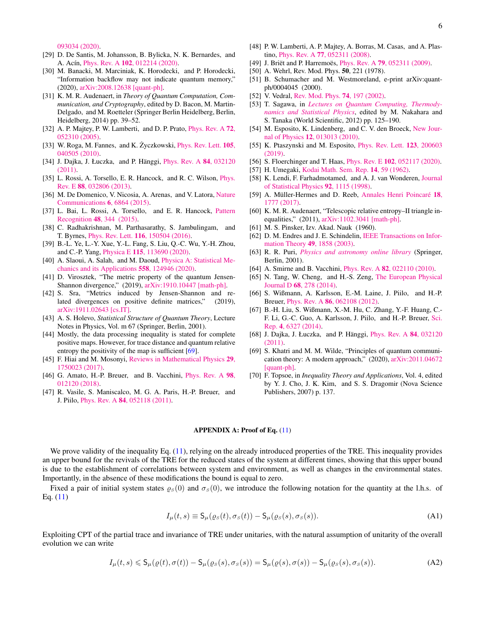[093034 \(2020\).](http://dx.doi.org/10.1088/1367-2630/abaf6a)

- [29] D. De Santis, M. Johansson, B. Bylicka, N. K. Bernardes, and A. Acín, Phys. Rev. A 102[, 012214 \(2020\).](http://dx.doi.org/10.1103/PhysRevA.102.012214)
- <span id="page-5-0"></span>[30] M. Banacki, M. Marciniak, K. Horodecki, and P. Horodecki, "Information backflow may not indicate quantum memory," (2020), [arXiv:2008.12638 \[quant-ph\].](http://arxiv.org/abs/2008.12638)
- <span id="page-5-1"></span>[31] K. M. R. Audenaert, in *Theory of Quantum Computation, Communication, and Cryptography*, edited by D. Bacon, M. Martin-Delgado, and M. Roetteler (Springer Berlin Heidelberg, Berlin, Heidelberg, 2014) pp. 39–52.
- <span id="page-5-2"></span>[32] A. P. Majtey, P. W. Lamberti, and D. P. Prato, *[Phys. Rev. A](http://dx.doi.org/10.1103/PhysRevA.72.052310)* 72, [052310 \(2005\).](http://dx.doi.org/10.1103/PhysRevA.72.052310)
- <span id="page-5-3"></span>[33] W. Roga, M. Fannes, and K. Życzkowski, *[Phys. Rev. Lett.](http://dx.doi.org/10.1103/PhysRevLett.105.040505)*  $105$ , [040505 \(2010\).](http://dx.doi.org/10.1103/PhysRevLett.105.040505)
- [34] J. Dajka, J. Łuczka, and P. Hänggi, [Phys. Rev. A](http://dx.doi.org/10.1103/PhysRevA.84.032120) 84, 032120 [\(2011\).](http://dx.doi.org/10.1103/PhysRevA.84.032120)
- [35] L. Rossi, A. Torsello, E. R. Hancock, and R. C. Wilson, *[Phys.](http://dx.doi.org/10.1103/PhysRevE.88.032806)* Rev. E 88[, 032806 \(2013\).](http://dx.doi.org/10.1103/PhysRevE.88.032806)
- [36] M. De Domenico, V. Nicosia, A. Arenas, and V. Latora, [Nature](http://dx.doi.org/10.1038/ncomms7864) [Communications](http://dx.doi.org/10.1038/ncomms7864) 6, 6864 (2015).
- [37] L. Bai, L. Rossi, A. Torsello, and E. R. Hancock, [Pattern](http://dx.doi.org/ https://doi.org/10.1016/j.patcog.2014.03.028) Recognition 48[, 344 \(2015\).](http://dx.doi.org/ https://doi.org/10.1016/j.patcog.2014.03.028)
- [38] C. Radhakrishnan, M. Parthasarathy, S. Jambulingam, and T. Byrnes, Phys. Rev. Lett. 116[, 150504 \(2016\).](http://dx.doi.org/10.1103/PhysRevLett.116.150504)
- [39] B.-L. Ye, L.-Y. Xue, Y.-L. Fang, S. Liu, Q.-C. Wu, Y.-H. Zhou, and C.-P. Yang, Physica E 115[, 113690 \(2020\).](http://dx.doi.org/ https://doi.org/10.1016/j.physe.2019.113690)
- <span id="page-5-4"></span>[40] A. Slaoui, A. Salah, and M. Daoud, [Physica A: Statistical Me](http://dx.doi.org/https://doi.org/10.1016/j.physa.2020.124946)[chanics and its Applications](http://dx.doi.org/https://doi.org/10.1016/j.physa.2020.124946) 558, 124946 (2020).
- <span id="page-5-5"></span>[41] D. Virosztek, "The metric property of the quantum Jensen-Shannon divergence," (2019), [arXiv:1910.10447 \[math-ph\].](http://arxiv.org/abs/1910.10447)
- <span id="page-5-6"></span>[42] S. Sra, "Metrics induced by Jensen-Shannon and related divergences on positive definite matrices," (2019), [arXiv:1911.02643 \[cs.IT\].](http://arxiv.org/abs/1911.02643)
- <span id="page-5-8"></span>[43] A. S. Holevo, *Statistical Structure of Quantum Theory*, Lecture Notes in Physics, Vol. m 67 (Springer, Berlin, 2001).
- <span id="page-5-9"></span>[44] Mostly, the data processing inequality is stated for complete positive maps. However, for trace distance and quantum relative entropy the positivity of the map is sufficient [\[69\]](#page-5-31).
- <span id="page-5-10"></span>[45] F. Hiai and M. Mosonyi, [Reviews in Mathematical Physics](http://dx.doi.org/10.1142/S0129055X17500234) 29, [1750023 \(2017\).](http://dx.doi.org/10.1142/S0129055X17500234)
- <span id="page-5-11"></span>[46] G. Amato, H.-P. Breuer, and B. Vacchini, [Phys. Rev. A](http://dx.doi.org/10.1103/PhysRevA.98.012120) 98, [012120 \(2018\).](http://dx.doi.org/10.1103/PhysRevA.98.012120)
- <span id="page-5-12"></span>[47] R. Vasile, S. Maniscalco, M. G. A. Paris, H.-P. Breuer, and J. Piilo, Phys. Rev. A 84[, 052118 \(2011\).](http://dx.doi.org/ 10.1103/PhysRevA.84.052118)
- <span id="page-5-13"></span>[48] P. W. Lamberti, A. P. Majtey, A. Borras, M. Casas, and A. Plastino, Phys. Rev. A 77[, 052311 \(2008\).](http://dx.doi.org/ 10.1103/PhysRevA.77.052311)
- <span id="page-5-14"></span>[49] J. Briët and P. Harremoës, Phys. Rev. A **79**[, 052311 \(2009\).](http://dx.doi.org/10.1103/PhysRevA.79.052311)
- <span id="page-5-15"></span>[50] A. Wehrl, Rev. Mod. Phys. **50**, 221 (1978).
- [51] B. Schumacher and M. Westmoreland, e-print arXiv:quantph/0004045 (2000).
- <span id="page-5-16"></span>[52] V. Vedral, [Rev. Mod. Phys.](http://dx.doi.org/10.1103/RevModPhys.74.197) **74**, 197 (2002).
- <span id="page-5-17"></span>[53] T. Sagawa, in *[Lectures on Quantum Computing, Thermody](http://dx.doi.org/10.1142/9789814425193_0003)[namics and Statistical Physics](http://dx.doi.org/10.1142/9789814425193_0003)*, edited by M. Nakahara and S. Tanaka (World Scientific, 2012) pp. 125–190.
- [54] M. Esposito, K. Lindenberg, and C. V. den Broeck, [New Jour](http://stacks.iop.org/1367-2630/12/i=1/a=013013)nal of Physics 12[, 013013 \(2010\).](http://stacks.iop.org/1367-2630/12/i=1/a=013013)
- [55] K. Ptaszynski and M. Esposito, *[Phys. Rev. Lett.](http://dx.doi.org/10.1103/PhysRevLett.123.200603)* **123**, 200603 [\(2019\).](http://dx.doi.org/10.1103/PhysRevLett.123.200603)
- <span id="page-5-18"></span>[56] S. Floerchinger and T. Haas, Phys. Rev. E 102[, 052117 \(2020\).](http://dx.doi.org/10.1103/PhysRevE.102.052117)
- <span id="page-5-19"></span>[57] H. Umegaki, [Kodai Math. Sem. Rep.](http://dx.doi.org/10.2996/kmj/1138844604) 14, 59 (1962).
- <span id="page-5-20"></span>[58] K. Lendi, F. Farhadmotamed, and A. J. van Wonderen, [Journal](http://dx.doi.org/10.1023/A:1023004929346) [of Statistical Physics](http://dx.doi.org/10.1023/A:1023004929346) 92, 1115 (1998).
- <span id="page-5-21"></span>[59] A. Müller-Hermes and D. Reeb, [Annales Henri Poincaré](http://dx.doi.org/10.1007/s00023-017-0550-9) 18, [1777 \(2017\).](http://dx.doi.org/10.1007/s00023-017-0550-9)
- <span id="page-5-22"></span>[60] K. M. R. Audenaert, "Telescopic relative entropy–II triangle inequalities," (2011), [arXiv:1102.3041 \[math-ph\].](http://arxiv.org/abs/1102.3041)
- <span id="page-5-23"></span>[61] M. S. Pinsker, Izv. Akad. Nauk (1960).
- <span id="page-5-24"></span>[62] D. M. Endres and J. E. Schindelin, [IEEE Transactions on Infor](http://dx.doi.org/10.1109/TIT.2003.813506)[mation Theory](http://dx.doi.org/10.1109/TIT.2003.813506) 49, 1858 (2003).
- <span id="page-5-25"></span>[63] R. R. Puri, *[Physics and astronomy online library](http://slubdd.de/katalog?TN_libero_mab2)61772)* (Springer, Berlin, 2001).
- <span id="page-5-26"></span>[64] A. Smirne and B. Vacchini, *Phys. Rev. A* **82**[, 022110 \(2010\).](http://dx.doi.org/10.1103/PhysRevA.82.022110)
- <span id="page-5-27"></span>[65] N. Tang, W. Cheng, and H.-S. Zeng, [The European Physical](http://dx.doi.org/10.1140/epjd/e2014-50292-2) Journal D 68[, 278 \(2014\).](http://dx.doi.org/10.1140/epjd/e2014-50292-2)
- <span id="page-5-28"></span>[66] S. Wißmann, A. Karlsson, E.-M. Laine, J. Piilo, and H.-P. Breuer, Phys. Rev. A 86[, 062108 \(2012\).](http://dx.doi.org/ 10.1103/PhysRevA.86.062108)
- <span id="page-5-29"></span>[67] B.-H. Liu, S. Wißmann, X.-M. Hu, C. Zhang, Y.-F. Huang, C.- F. Li, G.-C. Guo, A. Karlsson, J. Piilo, and H.-P. Breuer, [Sci.](http://dx.doi.org/10.1038/srep06327) Rep. 4[, 6327 \(2014\).](http://dx.doi.org/10.1038/srep06327)
- <span id="page-5-30"></span>[68] J. Dajka, J. Łuczka, and P. Hänggi, [Phys. Rev. A](http://dx.doi.org/10.1103/PhysRevA.84.032120) 84, 032120 [\(2011\).](http://dx.doi.org/10.1103/PhysRevA.84.032120)
- <span id="page-5-31"></span>[69] S. Khatri and M. M. Wilde, "Principles of quantum communication theory: A modern approach," (2020), [arXiv:2011.04672](http://arxiv.org/abs/2011.04672) [\[quant-ph\].](http://arxiv.org/abs/2011.04672)
- <span id="page-5-32"></span>[70] F. Topsoe, in *Inequality Theory and Applications*, Vol. 4, edited by Y. J. Cho, J. K. Kim, and S. S. Dragomir (Nova Science Publishers, 2007) p. 137.

#### <span id="page-5-7"></span>APPENDIX A: Proof of Eq. [\(11\)](#page-2-1)

We prove validity of the inequality Eq. [\(11\)](#page-2-1), relying on the already introduced properties of the TRE. This inequality provides an upper bound for the revivals of the TRE for the reduced states of the system at different times, showing that this upper bound is due to the establishment of correlations between system and environment, as well as changes in the environmental states. Importantly, in the absence of these modifications the bound is equal to zero.

Fixed a pair of initial system states  $\varrho_s(0)$  and  $\sigma_s(0)$ , we introduce the following notation for the quantity at the l.h.s. of Eq.  $(11)$ 

$$
I_{\mu}(t,s) \equiv \mathsf{S}_{\mu}(\varrho_{S}(t),\sigma_{S}(t)) - \mathsf{S}_{\mu}(\varrho_{S}(s),\sigma_{S}(s)). \tag{A1}
$$

Exploiting CPT of the partial trace and invariance of TRE under unitaries, with the natural assumption of unitarity of the overall evolution we can write

$$
I_{\mu}(t,s) \leq \mathsf{S}_{\mu}(\varrho(t),\sigma(t)) - \mathsf{S}_{\mu}(\varrho_{\mathcal{S}}(s),\sigma_{\mathcal{S}}(s)) = \mathsf{S}_{\mu}(\varrho(s),\sigma(s)) - \mathsf{S}_{\mu}(\varrho_{\mathcal{S}}(s),\sigma_{\mathcal{S}}(s)).
$$
\n(A2)